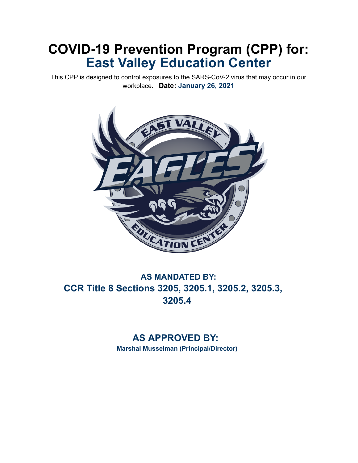# **COVID-19 Prevention Program (CPP) for: East Valley Education Center**

This CPP is designed to control exposures to the SARS-CoV-2 virus that may occur in our workplace. **Date: January 26, 2021** 



## **AS MANDATED BY: CCR Title 8 Sections 3205, 3205.1, 3205.2, 3205.3, 3205.4**

## **AS APPROVED BY:**

**Marshal Musselman (Principal/Director)**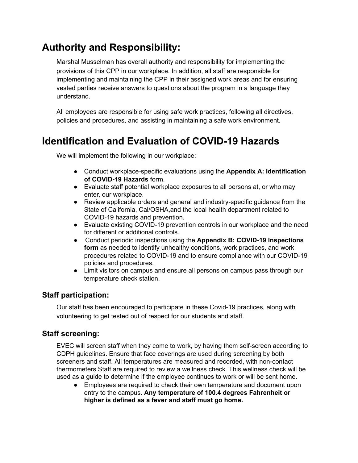## **Authority and Responsibility:**

Marshal Musselman has overall authority and responsibility for implementing the provisions of this CPP in our workplace. In addition, all staff are responsible for implementing and maintaining the CPP in their assigned work areas and for ensuring vested parties receive answers to questions about the program in a language they understand.

All employees are responsible for using safe work practices, following all directives, policies and procedures, and assisting in maintaining a safe work environment.

## **Identification and Evaluation of COVID-19 Hazards**

We will implement the following in our workplace:

- Conduct workplace-specific evaluations using the **Appendix A: Identification of COVID-19 Hazards** form.
- Evaluate staff potential workplace exposures to all persons at, or who may enter, our workplace.
- Review applicable orders and general and industry-specific guidance from the State of California, Cal/OSHA,and the local health department related to COVID-19 hazards and prevention.
- Evaluate existing COVID-19 prevention controls in our workplace and the need for different or additional controls.
- Conduct periodic inspections using the **Appendix B: COVID-19 Inspections form** as needed to identify unhealthy conditions, work practices, and work procedures related to COVID-19 and to ensure compliance with our COVID-19 policies and procedures.
- Limit visitors on campus and ensure all persons on campus pass through our temperature check station.

### **Staff participation:**

Our staff has been encouraged to participate in these Covid-19 practices, along with volunteering to get tested out of respect for our students and staff.

### **Staff screening:**

EVEC will screen staff when they come to work, by having them self-screen according to CDPH guidelines. Ensure that face coverings are used during screening by both screeners and staff. All temperatures are measured and recorded, with non-contact thermometers.Staff are required to review a wellness check. This wellness check will be used as a guide to determine if the employee continues to work or will be sent home.

● Employees are required to check their own temperature and document upon entry to the campus. **Any temperature of 100.4 degrees Fahrenheit or higher is defined as a fever and staff must go home.**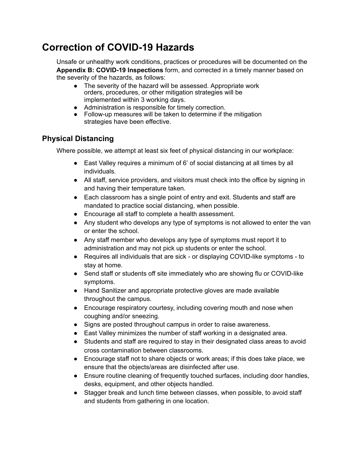## **Correction of COVID-19 Hazards**

Unsafe or unhealthy work conditions, practices or procedures will be documented on the **Appendix B: COVID-19 Inspections** form, and corrected in a timely manner based on the severity of the hazards, as follows:

- The severity of the hazard will be assessed. Appropriate work orders, procedures, or other mitigation strategies will be implemented within 3 working days.
- Administration is responsible for timely correction.
- Follow-up measures will be taken to determine if the mitigation strategies have been effective.

## **Physical Distancing**

Where possible, we attempt at least six feet of physical distancing in our workplace:

- East Valley requires a minimum of 6' of social distancing at all times by all individuals.
- **●** All staff, service providers, and visitors must check into the office by signing in and having their temperature taken.
- Each classroom has a single point of entry and exit. Students and staff are mandated to practice social distancing, when possible.
- Encourage all staff to complete a health assessment.
- Any student who develops any type of symptoms is not allowed to enter the van or enter the school.
- Any staff member who develops any type of symptoms must report it to administration and may not pick up students or enter the school.
- Requires all individuals that are sick or displaying COVID-like symptoms to stay at home.
- Send staff or students off site immediately who are showing flu or COVID-like symptoms.
- Hand Sanitizer and appropriate protective gloves are made available throughout the campus.
- Encourage respiratory courtesy, including covering mouth and nose when coughing and/or sneezing.
- Signs are posted throughout campus in order to raise awareness.
- East Valley minimizes the number of staff working in a designated area.
- Students and staff are required to stay in their designated class areas to avoid cross contamination between classrooms.
- Encourage staff not to share objects or work areas; if this does take place, we ensure that the objects/areas are disinfected after use.
- Ensure routine cleaning of frequently touched surfaces, including door handles, desks, equipment, and other objects handled.
- Stagger break and lunch time between classes, when possible, to avoid staff and students from gathering in one location.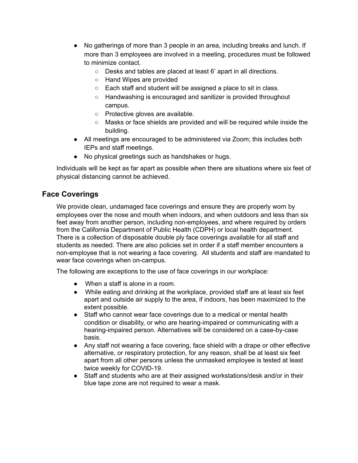- No gatherings of more than 3 people in an area, including breaks and lunch. If more than 3 employees are involved in a meeting, procedures must be followed to minimize contact.
	- Desks and tables are placed at least 6' apart in all directions.
	- Hand Wipes are provided
	- Each staff and student will be assigned a place to sit in class.
	- Handwashing is encouraged and sanitizer is provided throughout campus.
	- Protective gloves are available.
	- Masks or face shields are provided and will be required while inside the building.
- All meetings are encouraged to be administered via Zoom; this includes both IEPs and staff meetings.
- No physical greetings such as handshakes or hugs.

Individuals will be kept as far apart as possible when there are situations where six feet of physical distancing cannot be achieved.

### **Face Coverings**

We provide clean, undamaged face coverings and ensure they are properly worn by employees over the nose and mouth when indoors, and when outdoors and less than six feet away from another person, including non-employees, and where required by orders from the California Department of Public Health (CDPH) or local health department. There is a collection of disposable double ply face coverings available for all staff and students as needed. There are also policies set in order if a staff member encounters a non-employee that is not wearing a face covering. All students and staff are mandated to wear face coverings when on-campus.

The following are exceptions to the use of face coverings in our workplace:

- When a staff is alone in a room.
- While eating and drinking at the workplace, provided staff are at least six feet apart and outside air supply to the area, if indoors, has been maximized to the extent possible.
- Staff who cannot wear face coverings due to a medical or mental health condition or disability, or who are hearing-impaired or communicating with a hearing-impaired person. Alternatives will be considered on a case-by-case basis.
- Any staff not wearing a face covering, face shield with a drape or other effective alternative, or respiratory protection, for any reason, shall be at least six feet apart from all other persons unless the unmasked employee is tested at least twice weekly for COVID-19.
- Staff and students who are at their assigned workstations/desk and/or in their blue tape zone are not required to wear a mask.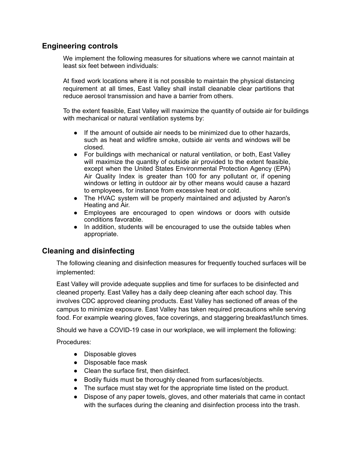### **Engineering controls**

We implement the following measures for situations where we cannot maintain at least six feet between individuals:

At fixed work locations where it is not possible to maintain the physical distancing requirement at all times, East Valley shall install cleanable clear partitions that reduce aerosol transmission and have a barrier from others.

To the extent feasible, East Valley will maximize the quantity of outside air for buildings with mechanical or natural ventilation systems by:

- If the amount of outside air needs to be minimized due to other hazards, such as heat and wildfire smoke, outside air vents and windows will be closed.
- For buildings with mechanical or natural ventilation, or both, East Valley will maximize the quantity of outside air provided to the extent feasible, except when the United States Environmental Protection Agency (EPA) Air Quality Index is greater than 100 for any pollutant or, if opening windows or letting in outdoor air by other means would cause a hazard to employees, for instance from excessive heat or cold.
- The HVAC system will be properly maintained and adjusted by Aaron's Heating and Air.
- Employees are encouraged to open windows or doors with outside conditions favorable.
- In addition, students will be encouraged to use the outside tables when appropriate.

### **Cleaning and disinfecting**

The following cleaning and disinfection measures for frequently touched surfaces will be implemented:

East Valley will provide adequate supplies and time for surfaces to be disinfected and cleaned property. East Valley has a daily deep cleaning after each school day. This involves CDC approved cleaning products. East Valley has sectioned off areas of the campus to minimize exposure. East Valley has taken required precautions while serving food. For example wearing gloves, face coverings, and staggering breakfast/lunch times.

Should we have a COVID-19 case in our workplace, we will implement the following:

Procedures:

- Disposable gloves
- Disposable face mask
- Clean the surface first, then disinfect.
- Bodily fluids must be thoroughly cleaned from surfaces/objects.
- The surface must stay wet for the appropriate time listed on the product.
- Dispose of any paper towels, gloves, and other materials that came in contact with the surfaces during the cleaning and disinfection process into the trash.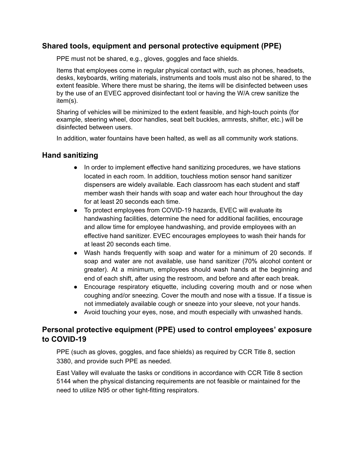### **Shared tools, equipment and personal protective equipment (PPE)**

PPE must not be shared, e.g., gloves, goggles and face shields.

Items that employees come in regular physical contact with, such as phones, headsets, desks, keyboards, writing materials, instruments and tools must also not be shared, to the extent feasible. Where there must be sharing, the items will be disinfected between uses by the use of an EVEC approved disinfectant tool or having the W/A crew sanitize the item(s).

Sharing of vehicles will be minimized to the extent feasible, and high-touch points (for example, steering wheel, door handles, seat belt buckles, armrests, shifter, etc.) will be disinfected between users.

In addition, water fountains have been halted, as well as all community work stations.

### **Hand sanitizing**

- In order to implement effective hand sanitizing procedures, we have stations located in each room. In addition, touchless motion sensor hand sanitizer dispensers are widely available. Each classroom has each student and staff member wash their hands with soap and water each hour throughout the day for at least 20 seconds each time.
- To protect employees from COVID-19 hazards, EVEC will evaluate its handwashing facilities, determine the need for additional facilities, encourage and allow time for employee handwashing, and provide employees with an effective hand sanitizer. EVEC encourages employees to wash their hands for at least 20 seconds each time.
- Wash hands frequently with soap and water for a minimum of 20 seconds. If soap and water are not available, use hand sanitizer (70% alcohol content or greater). At a minimum, employees should wash hands at the beginning and end of each shift, after using the restroom, and before and after each break.
- Encourage respiratory etiquette, including covering mouth and or nose when coughing and/or sneezing. Cover the mouth and nose with a tissue. If a tissue is not immediately available cough or sneeze into your sleeve, not your hands.
- Avoid touching your eyes, nose, and mouth especially with unwashed hands.

### **Personal protective equipment (PPE) used to control employees' exposure to COVID-19**

PPE (such as gloves, goggles, and face shields) as required by CCR Title 8, section 3380, and provide such PPE as needed.

East Valley will evaluate the tasks or conditions in accordance with CCR Title 8 section 5144 when the physical distancing requirements are not feasible or maintained for the need to utilize N95 or other tight-fitting respirators.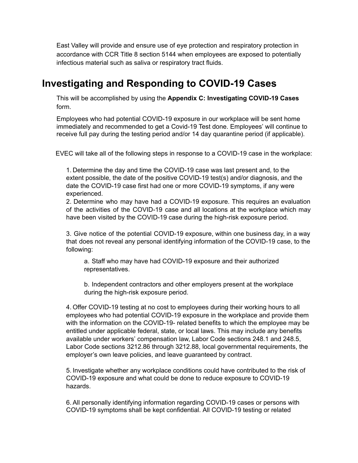East Valley will provide and ensure use of eye protection and respiratory protection in accordance with CCR Title 8 section 5144 when employees are exposed to potentially infectious material such as saliva or respiratory tract fluids.

## **Investigating and Responding to COVID-19 Cases**

This will be accomplished by using the **Appendix C: Investigating COVID-19 Cases** form.

Employees who had potential COVID-19 exposure in our workplace will be sent home immediately and recommended to get a Covid-19 Test done. Employees' will continue to receive full pay during the testing period and/or 14 day quarantine period (if applicable).

EVEC will take all of the following steps in response to a COVID-19 case in the workplace:

1. Determine the day and time the COVID-19 case was last present and, to the extent possible, the date of the positive COVID-19 test(s) and/or diagnosis, and the date the COVID-19 case first had one or more COVID-19 symptoms, if any were experienced.

2. Determine who may have had a COVID-19 exposure. This requires an evaluation of the activities of the COVID-19 case and all locations at the workplace which may have been visited by the COVID-19 case during the high-risk exposure period.

3. Give notice of the potential COVID-19 exposure, within one business day, in a way that does not reveal any personal identifying information of the COVID-19 case, to the following:

a. Staff who may have had COVID-19 exposure and their authorized representatives.

b. Independent contractors and other employers present at the workplace during the high-risk exposure period.

4. Offer COVID-19 testing at no cost to employees during their working hours to all employees who had potential COVID-19 exposure in the workplace and provide them with the information on the COVID-19- related benefits to which the employee may be entitled under applicable federal, state, or local laws. This may include any benefits available under workers' compensation law, Labor Code sections 248.1 and 248.5, Labor Code sections 3212.86 through 3212.88, local governmental requirements, the employer's own leave policies, and leave guaranteed by contract.

5. Investigate whether any workplace conditions could have contributed to the risk of COVID-19 exposure and what could be done to reduce exposure to COVID-19 hazards.

6. All personally identifying information regarding COVID-19 cases or persons with COVID-19 symptoms shall be kept confidential. All COVID-19 testing or related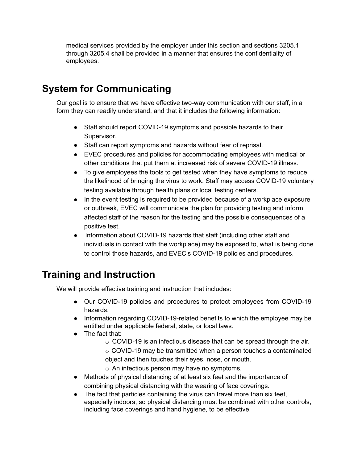medical services provided by the employer under this section and sections 3205.1 through 3205.4 shall be provided in a manner that ensures the confidentiality of employees.

## **System for Communicating**

Our goal is to ensure that we have effective two-way communication with our staff, in a form they can readily understand, and that it includes the following information:

- Staff should report COVID-19 symptoms and possible hazards to their Supervisor.
- Staff can report symptoms and hazards without fear of reprisal.
- EVEC procedures and policies for accommodating employees with medical or other conditions that put them at increased risk of severe COVID-19 illness.
- To give employees the tools to get tested when they have symptoms to reduce the likelihood of bringing the virus to work. Staff may access COVID-19 voluntary testing available through health plans or local testing centers.
- In the event testing is required to be provided because of a workplace exposure or outbreak, EVEC will communicate the plan for providing testing and inform affected staff of the reason for the testing and the possible consequences of a positive test.
- Information about COVID-19 hazards that staff (including other staff and individuals in contact with the workplace) may be exposed to, what is being done to control those hazards, and EVEC's COVID-19 policies and procedures.

## **Training and Instruction**

We will provide effective training and instruction that includes:

- Our COVID-19 policies and procedures to protect employees from COVID-19 hazards.
- Information regarding COVID-19-related benefits to which the employee may be entitled under applicable federal, state, or local laws.
- The fact that:
	- o COVID-19 is an infectious disease that can be spread through the air.
	- o COVID-19 may be transmitted when a person touches a contaminated object and then touches their eyes, nose, or mouth.
	- o An infectious person may have no symptoms.
- Methods of physical distancing of at least six feet and the importance of combining physical distancing with the wearing of face coverings.
- The fact that particles containing the virus can travel more than six feet, especially indoors, so physical distancing must be combined with other controls, including face coverings and hand hygiene, to be effective.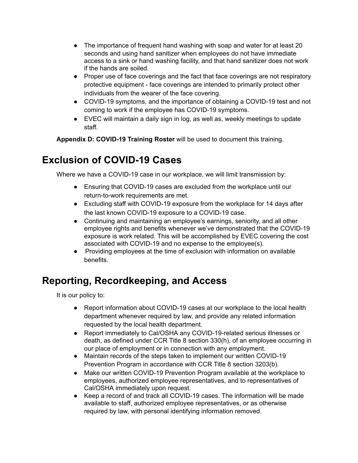- The importance of frequent hand washing with soap and water for at least 20 seconds and using hand sanitizer when employees do not have immediate access to a sink or hand washing facility, and that hand sanitizer does not work if the hands are soiled.
- Proper use of face coverings and the fact that face coverings are not respiratory protective equipment - face coverings are intended to primarily protect other individuals from the wearer of the face covering.
- COVID-19 symptoms, and the importance of obtaining a COVID-19 test and not coming to work if the employee has COVID-19 symptoms.
- EVEC will maintain a daily sign in log, as well as, weekly meetings to update staff.

**Appendix D: COVID-19 Training Roster** will be used to document this training.

## **Exclusion of COVID-19 Cases**

Where we have a COVID-19 case in our workplace, we will limit transmission by:

- Ensuring that COVID-19 cases are excluded from the workplace until our return-to-work requirements are met.
- Excluding staff with COVID-19 exposure from the workplace for 14 days after the last known COVID-19 exposure to a COVID-19 case.
- Continuing and maintaining an employee's earnings, seniority, and all other employee rights and benefits whenever we've demonstrated that the COVID-19 exposure is work related. This will be accomplished by EVEC covering the cost associated with COVID-19 and no expense to the employee(s).
- Providing employees at the time of exclusion with information on available benefits.

## **Reporting, Recordkeeping, and Access**

It is our policy to:

- Report information about COVID-19 cases at our workplace to the local health department whenever required by law, and provide any related information requested by the local health department.
- Report immediately to Cal/OSHA any COVID-19-related serious illnesses or death, as defined under CCR Title 8 section 330(h), of an employee occurring in our place of employment or in connection with any employment.
- Maintain records of the steps taken to implement our written COVID-19 Prevention Program in accordance with CCR Title 8 section 3203(b).
- Make our written COVID-19 Prevention Program available at the workplace to employees, authorized employee representatives, and to representatives of Cal/OSHA immediately upon request.
- Keep a record of and track all COVID-19 cases. The information will be made available to staff, authorized employee representatives, or as otherwise required by law, with personal identifying information removed.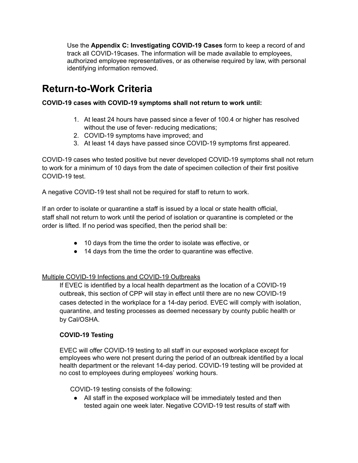Use the **Appendix C: Investigating COVID-19 Cases** form to keep a record of and track all COVID-19cases. The information will be made available to employees, authorized employee representatives, or as otherwise required by law, with personal identifying information removed.

## **Return-to-Work Criteria**

#### **COVID-19 cases with COVID-19 symptoms shall not return to work until:**

- 1. At least 24 hours have passed since a fever of 100.4 or higher has resolved without the use of fever- reducing medications;
- 2. COVID-19 symptoms have improved; and
- 3. At least 14 days have passed since COVID-19 symptoms first appeared.

COVID-19 cases who tested positive but never developed COVID-19 symptoms shall not return to work for a minimum of 10 days from the date of specimen collection of their first positive COVID-19 test.

A negative COVID-19 test shall not be required for staff to return to work.

If an order to isolate or quarantine a staff is issued by a local or state health official, staff shall not return to work until the period of isolation or quarantine is completed or the order is lifted. If no period was specified, then the period shall be:

- 10 days from the time the order to isolate was effective, or
- 14 days from the time the order to quarantine was effective.

#### Multiple COVID-19 Infections and COVID-19 Outbreaks

If EVEC is identified by a local health department as the location of a COVID-19 outbreak, this section of CPP will stay in effect until there are no new COVID-19 cases detected in the workplace for a 14-day period. EVEC will comply with isolation, quarantine, and testing processes as deemed necessary by county public health or by Cal/OSHA.

#### **COVID-19 Testing**

EVEC will offer COVID-19 testing to all staff in our exposed workplace except for employees who were not present during the period of an outbreak identified by a local health department or the relevant 14-day period. COVID-19 testing will be provided at no cost to employees during employees' working hours.

COVID-19 testing consists of the following:

● All staff in the exposed workplace will be immediately tested and then tested again one week later. Negative COVID-19 test results of staff with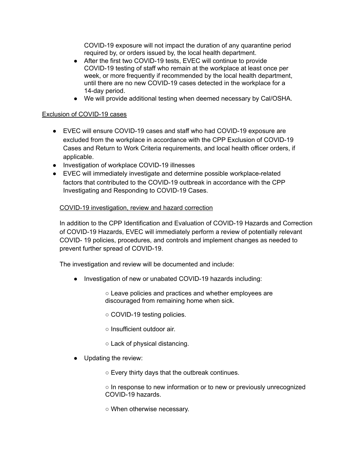COVID-19 exposure will not impact the duration of any quarantine period required by, or orders issued by, the local health department.

- After the first two COVID-19 tests, EVEC will continue to provide COVID-19 testing of staff who remain at the workplace at least once per week, or more frequently if recommended by the local health department, until there are no new COVID-19 cases detected in the workplace for a 14-day period.
- We will provide additional testing when deemed necessary by Cal/OSHA.

#### Exclusion of COVID-19 cases

- EVEC will ensure COVID-19 cases and staff who had COVID-19 exposure are excluded from the workplace in accordance with the CPP Exclusion of COVID-19 Cases and Return to Work Criteria requirements, and local health officer orders, if applicable.
- Investigation of workplace COVID-19 illnesses
- EVEC will immediately investigate and determine possible workplace-related factors that contributed to the COVID-19 outbreak in accordance with the CPP Investigating and Responding to COVID-19 Cases.

#### COVID-19 investigation, review and hazard correction

In addition to the CPP Identification and Evaluation of COVID-19 Hazards and Correction of COVID-19 Hazards, EVEC will immediately perform a review of potentially relevant COVID- 19 policies, procedures, and controls and implement changes as needed to prevent further spread of COVID-19.

The investigation and review will be documented and include:

● Investigation of new or unabated COVID-19 hazards including:

○ Leave policies and practices and whether employees are discouraged from remaining home when sick.

- COVID-19 testing policies.
- Insufficient outdoor air.
- Lack of physical distancing.
- Updating the review:
	- Every thirty days that the outbreak continues.

○ In response to new information or to new or previously unrecognized COVID-19 hazards.

○ When otherwise necessary.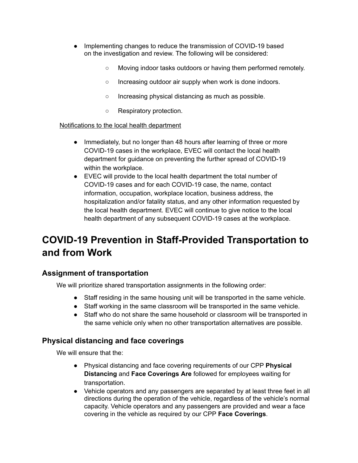- Implementing changes to reduce the transmission of COVID-19 based on the investigation and review. The following will be considered:
	- Moving indoor tasks outdoors or having them performed remotely.
	- Increasing outdoor air supply when work is done indoors.
	- Increasing physical distancing as much as possible.
	- Respiratory protection.

#### Notifications to the local health department

- Immediately, but no longer than 48 hours after learning of three or more COVID-19 cases in the workplace, EVEC will contact the local health department for guidance on preventing the further spread of COVID-19 within the workplace.
- EVEC will provide to the local health department the total number of COVID-19 cases and for each COVID-19 case, the name, contact information, occupation, workplace location, business address, the hospitalization and/or fatality status, and any other information requested by the local health department. EVEC will continue to give notice to the local health department of any subsequent COVID-19 cases at the workplace.

## **COVID-19 Prevention in Staff-Provided Transportation to and from Work**

### **Assignment of transportation**

We will prioritize shared transportation assignments in the following order:

- Staff residing in the same housing unit will be transported in the same vehicle.
- Staff working in the same classroom will be transported in the same vehicle.
- Staff who do not share the same household or classroom will be transported in the same vehicle only when no other transportation alternatives are possible.

### **Physical distancing and face coverings**

We will ensure that the:

- Physical distancing and face covering requirements of our CPP **Physical Distancing** and **Face Coverings Are** followed for employees waiting for transportation.
- Vehicle operators and any passengers are separated by at least three feet in all directions during the operation of the vehicle, regardless of the vehicle's normal capacity. Vehicle operators and any passengers are provided and wear a face covering in the vehicle as required by our CPP **Face Coverings**.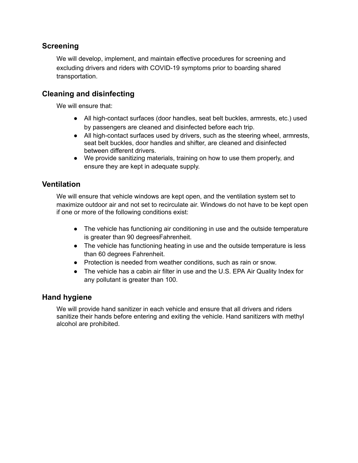### **Screening**

We will develop, implement, and maintain effective procedures for screening and excluding drivers and riders with COVID-19 symptoms prior to boarding shared transportation.

## **Cleaning and disinfecting**

We will ensure that:

- All high-contact surfaces (door handles, seat belt buckles, armrests, etc.) used by passengers are cleaned and disinfected before each trip.
- All high-contact surfaces used by drivers, such as the steering wheel, armrests, seat belt buckles, door handles and shifter, are cleaned and disinfected between different drivers.
- We provide sanitizing materials, training on how to use them properly, and ensure they are kept in adequate supply.

### **Ventilation**

We will ensure that vehicle windows are kept open, and the ventilation system set to maximize outdoor air and not set to recirculate air. Windows do not have to be kept open if one or more of the following conditions exist:

- The vehicle has functioning air conditioning in use and the outside temperature is greater than 90 degreesFahrenheit.
- The vehicle has functioning heating in use and the outside temperature is less than 60 degrees Fahrenheit.
- Protection is needed from weather conditions, such as rain or snow.
- The vehicle has a cabin air filter in use and the U.S. EPA Air Quality Index for any pollutant is greater than 100.

#### **Hand hygiene**

We will provide hand sanitizer in each vehicle and ensure that all drivers and riders sanitize their hands before entering and exiting the vehicle. Hand sanitizers with methyl alcohol are prohibited.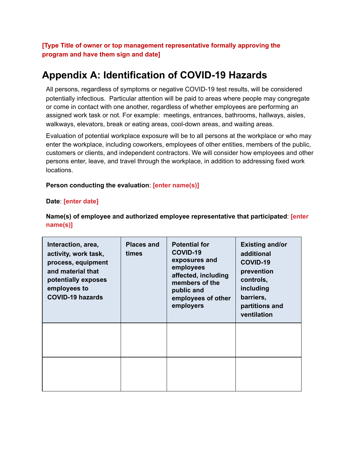**[Type Title of owner or top management representative formally approving the program and have them sign and date]**

## **Appendix A: Identification of COVID-19 Hazards**

All persons, regardless of symptoms or negative COVID-19 test results, will be considered potentially infectious. Particular attention will be paid to areas where people may congregate or come in contact with one another, regardless of whether employees are performing an assigned work task or not. For example: meetings, entrances, bathrooms, hallways, aisles, walkways, elevators, break or eating areas, cool-down areas, and waiting areas.

Evaluation of potential workplace exposure will be to all persons at the workplace or who may enter the workplace, including coworkers, employees of other entities, members of the public, customers or clients, and independent contractors. We will consider how employees and other persons enter, leave, and travel through the workplace, in addition to addressing fixed work locations.

#### **Person conducting the evaluation**: **[enter name(s)]**

#### **Date**: **[enter date]**

| Interaction, area,<br>activity, work task,<br>process, equipment<br>and material that<br>potentially exposes<br>employees to<br><b>COVID-19 hazards</b> | <b>Places and</b><br>times | <b>Potential for</b><br><b>COVID-19</b><br>exposures and<br>employees<br>affected, including<br>members of the<br>public and<br>employees of other<br>employers | <b>Existing and/or</b><br>additional<br>COVID-19<br>prevention<br>controls,<br>including<br>barriers,<br>partitions and<br>ventilation |
|---------------------------------------------------------------------------------------------------------------------------------------------------------|----------------------------|-----------------------------------------------------------------------------------------------------------------------------------------------------------------|----------------------------------------------------------------------------------------------------------------------------------------|
|                                                                                                                                                         |                            |                                                                                                                                                                 |                                                                                                                                        |
|                                                                                                                                                         |                            |                                                                                                                                                                 |                                                                                                                                        |

**Name(s) of employee and authorized employee representative that participated**: **[enter name(s)]**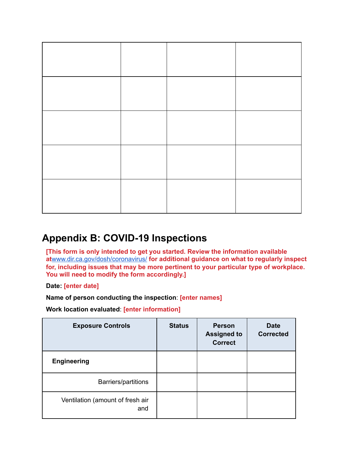## **Appendix B: COVID-19 Inspections**

**[This form is only intended to get you started. Review the information available at**[www.dir.ca.gov/dosh/coronavirus/](http://www.dir.ca.gov/dosh/coronavirus/) **[f](http://www.dir.ca.gov/dosh/coronavirus/)or additional guidance on what to regularly inspect for, including issues that may be more pertinent to your particular type of workplace. You will need to modify the form accordingly.]**

**Date: [enter date]**

**Name of person conducting the inspection**: **[enter names]**

**Work location evaluated**: **[enter information]**

| <b>Exposure Controls</b>                | <b>Status</b> | <b>Person</b><br><b>Assigned to</b><br><b>Correct</b> | <b>Date</b><br><b>Corrected</b> |
|-----------------------------------------|---------------|-------------------------------------------------------|---------------------------------|
| <b>Engineering</b>                      |               |                                                       |                                 |
| Barriers/partitions                     |               |                                                       |                                 |
| Ventilation (amount of fresh air<br>and |               |                                                       |                                 |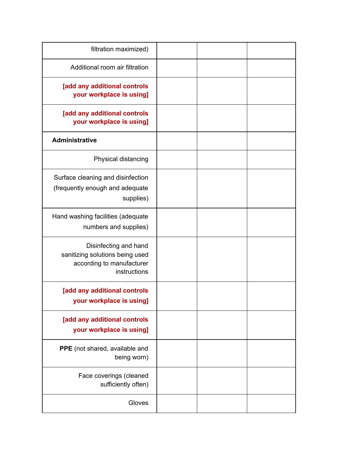| filtration maximized)                                                                                 |  |  |
|-------------------------------------------------------------------------------------------------------|--|--|
| Additional room air filtration                                                                        |  |  |
| [add any additional controls<br>your workplace is using]                                              |  |  |
| [add any additional controls<br>your workplace is using]                                              |  |  |
| <b>Administrative</b>                                                                                 |  |  |
| Physical distancing                                                                                   |  |  |
| Surface cleaning and disinfection<br>(frequently enough and adequate<br>supplies)                     |  |  |
| Hand washing facilities (adequate<br>numbers and supplies)                                            |  |  |
| Disinfecting and hand<br>sanitizing solutions being used<br>according to manufacturer<br>instructions |  |  |
| [add any additional controls<br>your workplace is using]                                              |  |  |
| [add any additional controls<br>your workplace is using]                                              |  |  |
| PPE (not shared, available and<br>being worn)                                                         |  |  |
| Face coverings (cleaned<br>sufficiently often)                                                        |  |  |
| Gloves                                                                                                |  |  |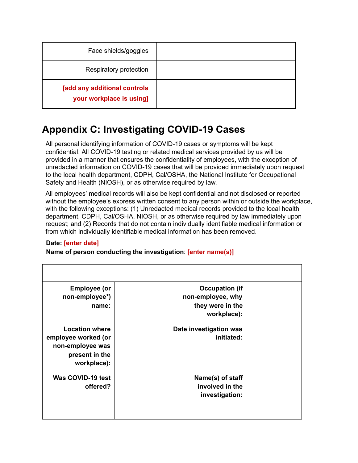| Face shields/goggles                                     |  |  |
|----------------------------------------------------------|--|--|
| Respiratory protection                                   |  |  |
| [add any additional controls<br>your workplace is using] |  |  |

## **Appendix C: Investigating COVID-19 Cases**

All personal identifying information of COVID-19 cases or symptoms will be kept confidential. All COVID-19 testing or related medical services provided by us will be provided in a manner that ensures the confidentiality of employees, with the exception of unredacted information on COVID-19 cases that will be provided immediately upon request to the local health department, CDPH, Cal/OSHA, the National Institute for Occupational Safety and Health (NIOSH), or as otherwise required by law.

All employees' medical records will also be kept confidential and not disclosed or reported without the employee's express written consent to any person within or outside the workplace, with the following exceptions: (1) Unredacted medical records provided to the local health department, CDPH, Cal/OSHA, NIOSH, or as otherwise required by law immediately upon request; and (2) Records that do not contain individually identifiable medical information or from which individually identifiable medical information has been removed.

#### **Date: [enter date]**

#### **Name of person conducting the investigation**: **[enter name(s)]**

| <b>Employee (or</b><br>non-employee*)<br>name:                                                    | <b>Occupation (if</b><br>non-employee, why<br>they were in the<br>workplace): |  |
|---------------------------------------------------------------------------------------------------|-------------------------------------------------------------------------------|--|
| <b>Location where</b><br>employee worked (or<br>non-employee was<br>present in the<br>workplace): | Date investigation was<br>initiated:                                          |  |
| Was COVID-19 test<br>offered?                                                                     | Name(s) of staff<br>involved in the<br>investigation:                         |  |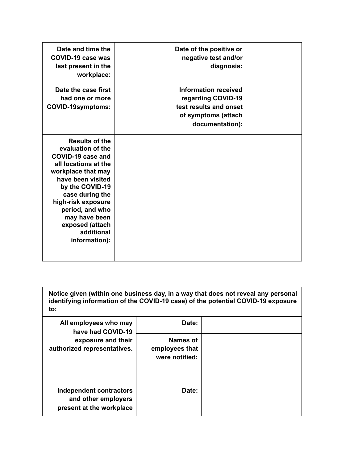| Date and time the<br><b>COVID-19 case was</b><br>last present in the<br>workplace:                                                                                                                                                                                                   | Date of the positive or<br>negative test and/or<br>diagnosis:                                                  |  |
|--------------------------------------------------------------------------------------------------------------------------------------------------------------------------------------------------------------------------------------------------------------------------------------|----------------------------------------------------------------------------------------------------------------|--|
| Date the case first<br>had one or more<br><b>COVID-19symptoms:</b>                                                                                                                                                                                                                   | Information received<br>regarding COVID-19<br>test results and onset<br>of symptoms (attach<br>documentation): |  |
| <b>Results of the</b><br>evaluation of the<br>COVID-19 case and<br>all locations at the<br>workplace that may<br>have been visited<br>by the COVID-19<br>case during the<br>high-risk exposure<br>period, and who<br>may have been<br>exposed (attach<br>additional<br>information): |                                                                                                                |  |

**Notice given (within one business day, in a way that does not reveal any personal identifying information of the COVID-19 case) of the potential COVID-19 exposure to:**

| All employees who may<br>have had COVID-19<br>exposure and their<br>authorized representatives. | Date:                                        |  |
|-------------------------------------------------------------------------------------------------|----------------------------------------------|--|
|                                                                                                 | Names of<br>employees that<br>were notified: |  |
| <b>Independent contractors</b><br>and other employers<br>present at the workplace               | Date:                                        |  |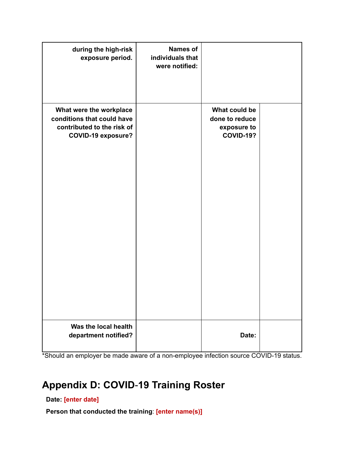| during the high-risk<br>exposure period.                                                                         | <b>Names of</b><br>individuals that<br>were notified: |                                                                    |  |
|------------------------------------------------------------------------------------------------------------------|-------------------------------------------------------|--------------------------------------------------------------------|--|
| What were the workplace<br>conditions that could have<br>contributed to the risk of<br><b>COVID-19 exposure?</b> |                                                       | What could be<br>done to reduce<br>exposure to<br><b>COVID-19?</b> |  |
| Was the local health<br>department notified?                                                                     |                                                       | Date:                                                              |  |

\*Should an employer be made aware of a non-employee infection source COVID-19 status.

## **Appendix D: COVID**-**19 Training Roster**

**Date: [enter date]**

**Person that conducted the training**: **[enter name(s)]**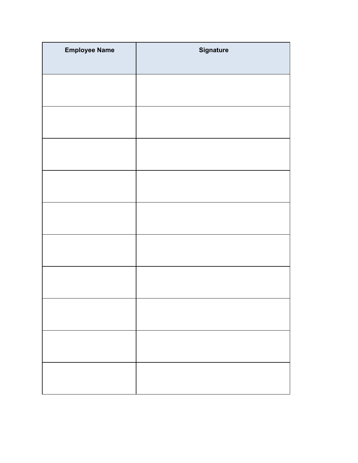| <b>Employee Name</b> | <b>Signature</b> |
|----------------------|------------------|
|                      |                  |
|                      |                  |
|                      |                  |
|                      |                  |
|                      |                  |
|                      |                  |
|                      |                  |
|                      |                  |
|                      |                  |
|                      |                  |
|                      |                  |
|                      |                  |
|                      |                  |
|                      |                  |
|                      |                  |
|                      |                  |
|                      |                  |
|                      |                  |
|                      |                  |
|                      |                  |
|                      |                  |
|                      |                  |
|                      |                  |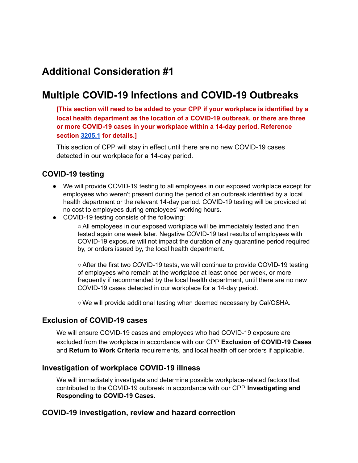## **Additional Consideration #1**

## **Multiple COVID-19 Infections and COVID-19 Outbreaks**

**[This section will need to be added to your CPP if your workplace is identified by a local health department as the location of a COVID-19 outbreak, or there are three or more COVID-19 cases in your workplace within a 14-day period. Reference section [3205.1](https://www.dir.ca.gov/title8/3205_1.html) for details.]**

This section of CPP will stay in effect until there are no new COVID-19 cases detected in our workplace for a 14-day period.

#### **COVID-19 testing**

- We will provide COVID-19 testing to all employees in our exposed workplace except for employees who weren't present during the period of an outbreak identified by a local health department or the relevant 14-day period. COVID-19 testing will be provided at no cost to employees during employees' working hours.
- COVID-19 testing consists of the following:

○ All employees in our exposed workplace will be immediately tested and then tested again one week later. Negative COVID-19 test results of employees with COVID-19 exposure will not impact the duration of any quarantine period required by, or orders issued by, the local health department.

○After the first two COVID-19 tests, we will continue to provide COVID-19 testing of employees who remain at the workplace at least once per week, or more frequently if recommended by the local health department, until there are no new COVID-19 cases detected in our workplace for a 14-day period.

○ We will provide additional testing when deemed necessary by Cal/OSHA.

#### **Exclusion of COVID-19 cases**

We will ensure COVID-19 cases and employees who had COVID-19 exposure are excluded from the workplace in accordance with our CPP **Exclusion of COVID-19 Cases** and **Return to Work Criteria** requirements, and local health officer orders if applicable.

#### **Investigation of workplace COVID-19 illness**

We will immediately investigate and determine possible workplace-related factors that contributed to the COVID-19 outbreak in accordance with our CPP **Investigating and Responding to COVID-19 Cases**.

#### **COVID-19 investigation, review and hazard correction**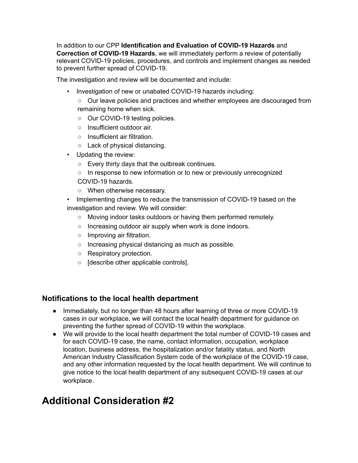In addition to our CPP **Identification and Evaluation of COVID-19 Hazards** and **Correction of COVID-19 Hazards**, we will immediately perform a review of potentially relevant COVID-19 policies, procedures, and controls and implement changes as needed to prevent further spread of COVID-19.

The investigation and review will be documented and include:

- Investigation of new or unabated COVID-19 hazards including:
	- Our leave policies and practices and whether employees are discouraged from remaining home when sick.
	- Our COVID-19 testing policies.
	- Insufficient outdoor air.
	- Insufficient air filtration.
	- Lack of physical distancing.
- Updating the review:
	- Every thirty days that the outbreak continues.
	- In response to new information or to new or previously unrecognized COVID-19 hazards.
	- When otherwise necessary.
- Implementing changes to reduce the transmission of COVID-19 based on the investigation and review. We will consider:
	- Moving indoor tasks outdoors or having them performed remotely.
	- Increasing outdoor air supply when work is done indoors.
	- Improving air filtration.
	- Increasing physical distancing as much as possible.
	- Respiratory protection.
	- [describe other applicable controls].

#### **Notifications to the local health department**

- Immediately, but no longer than 48 hours after learning of three or more COVID-19 cases in our workplace, we will contact the local health department for guidance on preventing the further spread of COVID-19 within the workplace.
- We will provide to the local health department the total number of COVID-19 cases and for each COVID-19 case, the name, contact information, occupation, workplace location, business address, the hospitalization and/or fatality status, and North American Industry Classification System code of the workplace of the COVID-19 case, and any other information requested by the local health department. We will continue to give notice to the local health department of any subsequent COVID-19 cases at our workplace.

## **Additional Consideration #2**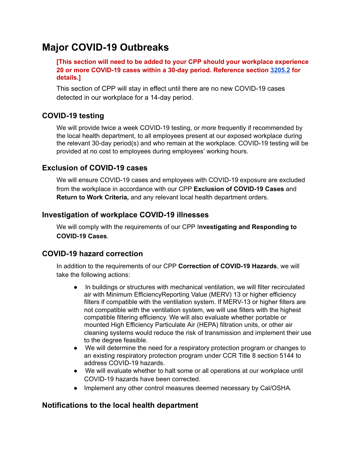## **Major COVID-19 Outbreaks**

**[This section will need to be added to your CPP should your workplace experience 20 or more COVID-19 cases within a 30-day period. Reference section [3205.2](https://www.dir.ca.gov/title8/3205_2.html) for details.]**

This section of CPP will stay in effect until there are no new COVID-19 cases detected in our workplace for a 14-day period.

## **COVID-19 testing**

We will provide twice a week COVID-19 testing, or more frequently if recommended by the local health department, to all employees present at our exposed workplace during the relevant 30-day period(s) and who remain at the workplace. COVID-19 testing will be provided at no cost to employees during employees' working hours.

## **Exclusion of COVID-19 cases**

We will ensure COVID-19 cases and employees with COVID-19 exposure are excluded from the workplace in accordance with our CPP **Exclusion of COVID-19 Cases** and **Return to Work Criteria,** and any relevant local health department orders.

## **Investigation of workplace COVID-19 illnesses**

We will comply with the requirements of our CPP I**nvestigating and Responding to COVID-19 Cases**.

## **COVID-19 hazard correction**

In addition to the requirements of our CPP **Correction of COVID-19 Hazards**, we will take the following actions:

- In buildings or structures with mechanical ventilation, we will filter recirculated air with Minimum EfficiencyReporting Value (MERV) 13 or higher efficiency filters if compatible with the ventilation system. If MERV-13 or higher filters are not compatible with the ventilation system, we will use filters with the highest compatible filtering efficiency. We will also evaluate whether portable or mounted High Efficiency Particulate Air (HEPA) filtration units, or other air cleaning systems would reduce the risk of transmission and implement their use to the degree feasible.
- We will determine the need for a respiratory protection program or changes to an existing respiratory protection program under CCR Title 8 section 5144 to address COVID-19 hazards.
- We will evaluate whether to halt some or all operations at our workplace until COVID-19 hazards have been corrected.
- Implement any other control measures deemed necessary by Cal/OSHA.

### **Notifications to the local health department**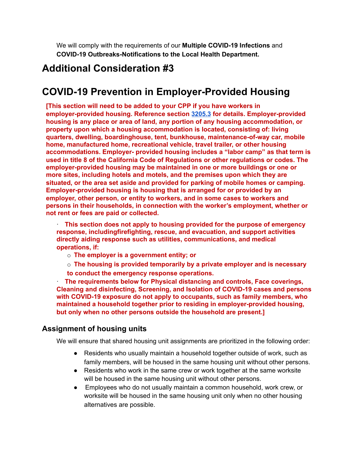We will comply with the requirements of our **Multiple COVID-19 Infections** and **COVID-19 Outbreaks-Notifications to the Local Health Department.**

## **Additional Consideration #3**

## **COVID-19 Prevention in Employer-Provided Housing**

**[This section will need to be added to your CPP if you have workers in employer-provided housing. Reference section [3205.3](https://www.dir.ca.gov/title8/3205_3.html) for details. Employer-provided housing is any place or area of land, any portion of any housing accommodation, or property upon which a housing accommodation is located, consisting of: living quarters, dwelling, boardinghouse, tent, bunkhouse, maintenance-of-way car, mobile home, manufactured home, recreational vehicle, travel trailer, or other housing accommodations. Employer- provided housing includes a "labor camp" as that term is used in title 8 of the California Code of Regulations or other regulations or codes. The employer-provided housing may be maintained in one or more buildings or one or more sites, including hotels and motels, and the premises upon which they are situated, or the area set aside and provided for parking of mobile homes or camping. Employer-provided housing is housing that is arranged for or provided by an employer, other person, or entity to workers, and in some cases to workers and persons in their households, in connection with the worker's employment, whether or not rent or fees are paid or collected.**

· **This section does not apply to housing provided for the purpose of emergency response, includingfirefighting, rescue, and evacuation, and support activities directly aiding response such as utilities, communications, and medical operations, if:**

- o **The employer is a government entity; or**
- o **The housing is provided temporarily by a private employer and is necessary to conduct the emergency response operations.**

· **The requirements below for Physical distancing and controls, Face coverings, Cleaning and disinfecting, Screening, and Isolation of COVID-19 cases and persons with COVID-19 exposure do not apply to occupants, such as family members, who maintained a household together prior to residing in employer-provided housing, but only when no other persons outside the household are present.]**

#### **Assignment of housing units**

We will ensure that shared housing unit assignments are prioritized in the following order:

- Residents who usually maintain a household together outside of work, such as family members, will be housed in the same housing unit without other persons.
- Residents who work in the same crew or work together at the same worksite will be housed in the same housing unit without other persons.
- Employees who do not usually maintain a common household, work crew, or worksite will be housed in the same housing unit only when no other housing alternatives are possible.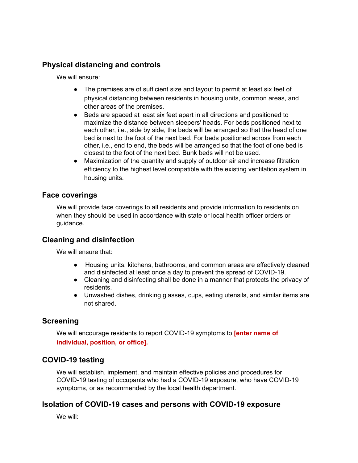### **Physical distancing and controls**

We will ensure:

- The premises are of sufficient size and layout to permit at least six feet of physical distancing between residents in housing units, common areas, and other areas of the premises.
- Beds are spaced at least six feet apart in all directions and positioned to maximize the distance between sleepers' heads. For beds positioned next to each other, i.e., side by side, the beds will be arranged so that the head of one bed is next to the foot of the next bed. For beds positioned across from each other, i.e., end to end, the beds will be arranged so that the foot of one bed is closest to the foot of the next bed. Bunk beds will not be used.
- Maximization of the quantity and supply of outdoor air and increase filtration efficiency to the highest level compatible with the existing ventilation system in housing units.

#### **Face coverings**

We will provide face coverings to all residents and provide information to residents on when they should be used in accordance with state or local health officer orders or guidance.

#### **Cleaning and disinfection**

We will ensure that:

- Housing units, kitchens, bathrooms, and common areas are effectively cleaned and disinfected at least once a day to prevent the spread of COVID-19.
- Cleaning and disinfecting shall be done in a manner that protects the privacy of residents.
- Unwashed dishes, drinking glasses, cups, eating utensils, and similar items are not shared.

### **Screening**

We will encourage residents to report COVID-19 symptoms to **[enter name of individual, position, or office].**

### **COVID-19 testing**

We will establish, implement, and maintain effective policies and procedures for COVID-19 testing of occupants who had a COVID-19 exposure, who have COVID-19 symptoms, or as recommended by the local health department.

### **Isolation of COVID-19 cases and persons with COVID-19 exposure**

We will: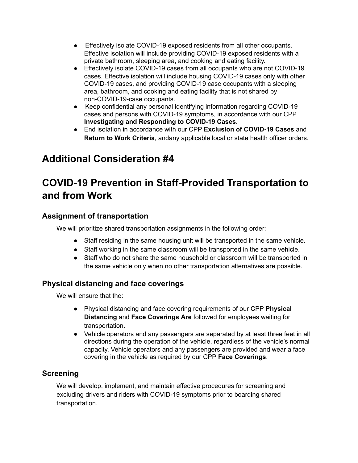- Effectively isolate COVID-19 exposed residents from all other occupants. Effective isolation will include providing COVID-19 exposed residents with a private bathroom, sleeping area, and cooking and eating facility.
- Effectively isolate COVID-19 cases from all occupants who are not COVID-19 cases. Effective isolation will include housing COVID-19 cases only with other COVID-19 cases, and providing COVID-19 case occupants with a sleeping area, bathroom, and cooking and eating facility that is not shared by non-COVID-19-case occupants.
- Keep confidential any personal identifying information regarding COVID-19 cases and persons with COVID-19 symptoms, in accordance with our CPP **Investigating and Responding to COVID-19 Cases**.
- End isolation in accordance with our CPP **Exclusion of COVID-19 Cases** and **Return to Work Criteria**, andany applicable local or state health officer orders.

## **Additional Consideration #4**

## **COVID-19 Prevention in Staff-Provided Transportation to and from Work**

## **Assignment of transportation**

We will prioritize shared transportation assignments in the following order:

- Staff residing in the same housing unit will be transported in the same vehicle.
- Staff working in the same classroom will be transported in the same vehicle.
- Staff who do not share the same household or classroom will be transported in the same vehicle only when no other transportation alternatives are possible.

## **Physical distancing and face coverings**

We will ensure that the:

- Physical distancing and face covering requirements of our CPP **Physical Distancing** and **Face Coverings Are** followed for employees waiting for transportation.
- Vehicle operators and any passengers are separated by at least three feet in all directions during the operation of the vehicle, regardless of the vehicle's normal capacity. Vehicle operators and any passengers are provided and wear a face covering in the vehicle as required by our CPP **Face Coverings**.

## **Screening**

We will develop, implement, and maintain effective procedures for screening and excluding drivers and riders with COVID-19 symptoms prior to boarding shared transportation.